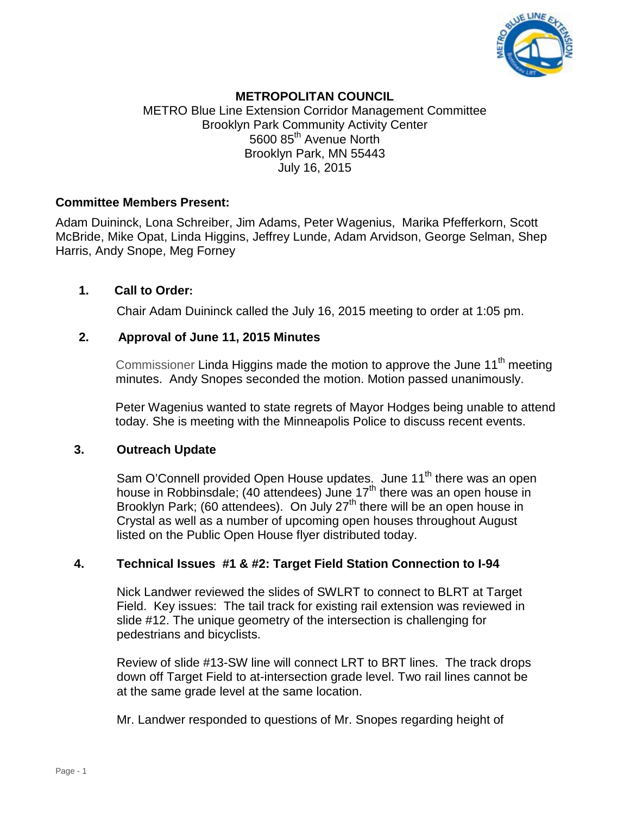

# **METROPOLITAN COUNCIL**

METRO Blue Line Extension Corridor Management Committee Brooklyn Park Community Activity Center 5600 85<sup>th</sup> Avenue North Brooklyn Park, MN 55443 July 16, 2015

#### **Committee Members Present:**

Adam Duininck, Lona Schreiber, Jim Adams, Peter Wagenius, Marika Pfefferkorn, Scott McBride, Mike Opat, Linda Higgins, Jeffrey Lunde, Adam Arvidson, George Selman, Shep Harris, Andy Snope, Meg Forney

# **1. Call to Order:**

Chair Adam Duininck called the July 16, 2015 meeting to order at 1:05 pm.

#### **2. Approval of June 11, 2015 Minutes**

Commissioner Linda Higgins made the motion to approve the June  $11<sup>th</sup>$  meeting minutes. Andy Snopes seconded the motion. Motion passed unanimously.

 Peter Wagenius wanted to state regrets of Mayor Hodges being unable to attend today. She is meeting with the Minneapolis Police to discuss recent events.

#### **3. Outreach Update**

Sam O'Connell provided Open House updates. June 11<sup>th</sup> there was an open house in Robbinsdale; (40 attendees) June 17<sup>th</sup> there was an open house in Brooklyn Park; (60 attendees). On July 27<sup>th</sup> there will be an open house in Crystal as well as a number of upcoming open houses throughout August listed on the Public Open House flyer distributed today.

# **4. Technical Issues #1 & #2: Target Field Station Connection to I-94**

Nick Landwer reviewed the slides of SWLRT to connect to BLRT at Target Field. Key issues: The tail track for existing rail extension was reviewed in slide #12. The unique geometry of the intersection is challenging for pedestrians and bicyclists.

Review of slide #13-SW line will connect LRT to BRT lines. The track drops down off Target Field to at-intersection grade level. Two rail lines cannot be at the same grade level at the same location.

Mr. Landwer responded to questions of Mr. Snopes regarding height of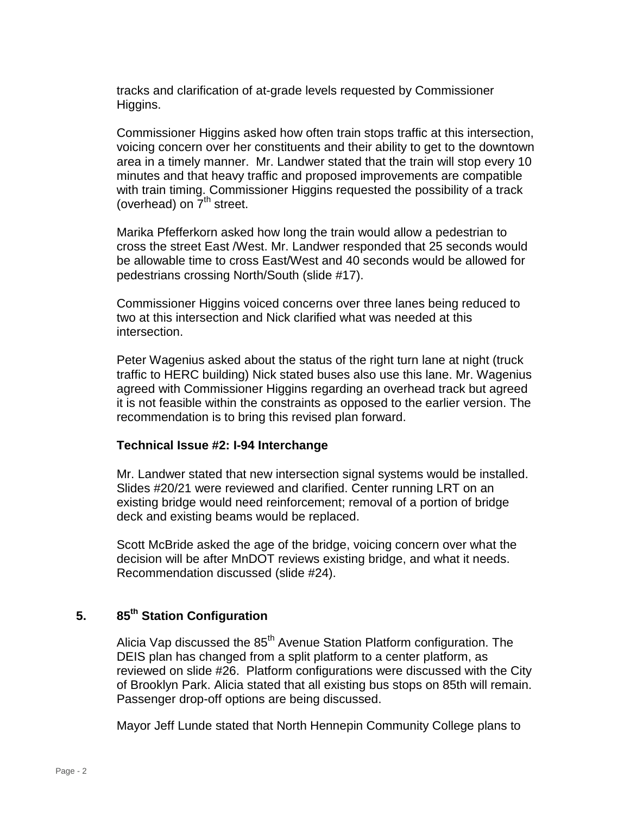tracks and clarification of at-grade levels requested by Commissioner Higgins.

Commissioner Higgins asked how often train stops traffic at this intersection, voicing concern over her constituents and their ability to get to the downtown area in a timely manner. Mr. Landwer stated that the train will stop every 10 minutes and that heavy traffic and proposed improvements are compatible with train timing. Commissioner Higgins requested the possibility of a track (overhead) on  $7<sup>th</sup>$  street.

Marika Pfefferkorn asked how long the train would allow a pedestrian to cross the street East /West. Mr. Landwer responded that 25 seconds would be allowable time to cross East/West and 40 seconds would be allowed for pedestrians crossing North/South (slide #17).

Commissioner Higgins voiced concerns over three lanes being reduced to two at this intersection and Nick clarified what was needed at this intersection.

Peter Wagenius asked about the status of the right turn lane at night (truck traffic to HERC building) Nick stated buses also use this lane. Mr. Wagenius agreed with Commissioner Higgins regarding an overhead track but agreed it is not feasible within the constraints as opposed to the earlier version. The recommendation is to bring this revised plan forward.

# **Technical Issue #2: I-94 Interchange**

Mr. Landwer stated that new intersection signal systems would be installed. Slides #20/21 were reviewed and clarified. Center running LRT on an existing bridge would need reinforcement; removal of a portion of bridge deck and existing beams would be replaced.

Scott McBride asked the age of the bridge, voicing concern over what the decision will be after MnDOT reviews existing bridge, and what it needs. Recommendation discussed (slide #24).

#### **5. 85th Station Configuration**

Alicia Vap discussed the 85<sup>th</sup> Avenue Station Platform configuration. The DEIS plan has changed from a split platform to a center platform, as reviewed on slide #26. Platform configurations were discussed with the City of Brooklyn Park. Alicia stated that all existing bus stops on 85th will remain. Passenger drop-off options are being discussed.

Mayor Jeff Lunde stated that North Hennepin Community College plans to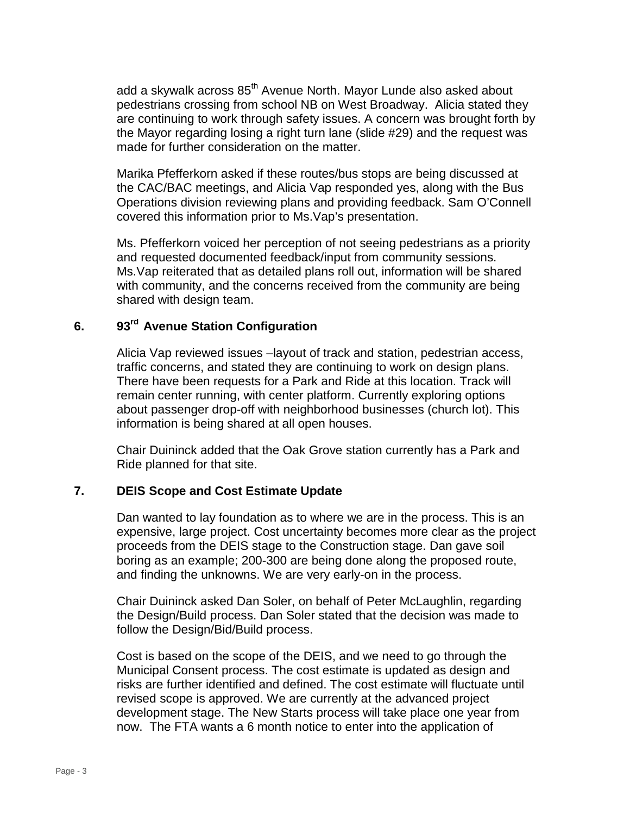add a skywalk across 85<sup>th</sup> Avenue North. Mayor Lunde also asked about pedestrians crossing from school NB on West Broadway. Alicia stated they are continuing to work through safety issues. A concern was brought forth by the Mayor regarding losing a right turn lane (slide #29) and the request was made for further consideration on the matter.

Marika Pfefferkorn asked if these routes/bus stops are being discussed at the CAC/BAC meetings, and Alicia Vap responded yes, along with the Bus Operations division reviewing plans and providing feedback. Sam O'Connell covered this information prior to Ms.Vap's presentation.

Ms. Pfefferkorn voiced her perception of not seeing pedestrians as a priority and requested documented feedback/input from community sessions. Ms.Vap reiterated that as detailed plans roll out, information will be shared with community, and the concerns received from the community are being shared with design team.

#### **6. 93rd Avenue Station Configuration**

Alicia Vap reviewed issues –layout of track and station, pedestrian access, traffic concerns, and stated they are continuing to work on design plans. There have been requests for a Park and Ride at this location. Track will remain center running, with center platform. Currently exploring options about passenger drop-off with neighborhood businesses (church lot). This information is being shared at all open houses.

Chair Duininck added that the Oak Grove station currently has a Park and Ride planned for that site.

# **7. DEIS Scope and Cost Estimate Update**

Dan wanted to lay foundation as to where we are in the process. This is an expensive, large project. Cost uncertainty becomes more clear as the project proceeds from the DEIS stage to the Construction stage. Dan gave soil boring as an example; 200-300 are being done along the proposed route, and finding the unknowns. We are very early-on in the process.

Chair Duininck asked Dan Soler, on behalf of Peter McLaughlin, regarding the Design/Build process. Dan Soler stated that the decision was made to follow the Design/Bid/Build process.

Cost is based on the scope of the DEIS, and we need to go through the Municipal Consent process. The cost estimate is updated as design and risks are further identified and defined. The cost estimate will fluctuate until revised scope is approved. We are currently at the advanced project development stage. The New Starts process will take place one year from now. The FTA wants a 6 month notice to enter into the application of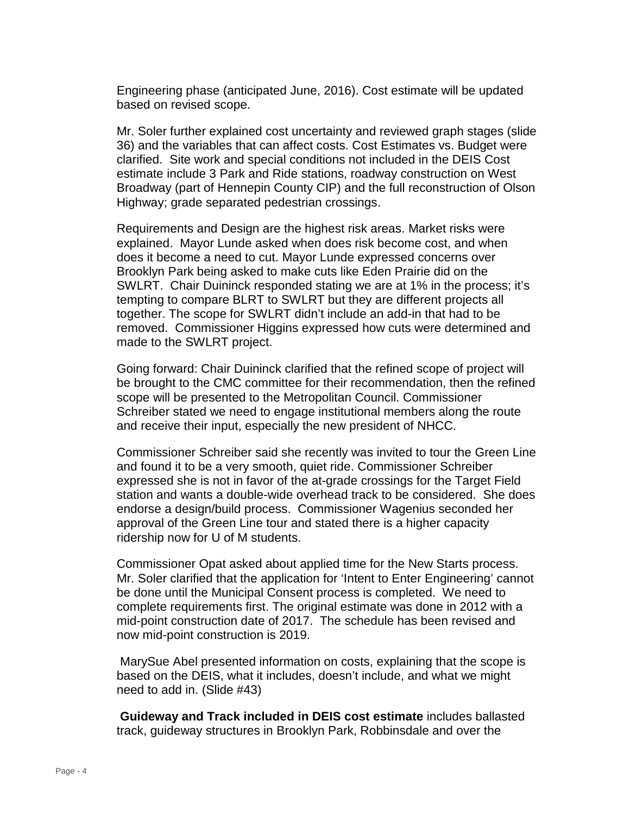Engineering phase (anticipated June, 2016). Cost estimate will be updated based on revised scope.

Mr. Soler further explained cost uncertainty and reviewed graph stages (slide 36) and the variables that can affect costs. Cost Estimates vs. Budget were clarified. Site work and special conditions not included in the DEIS Cost estimate include 3 Park and Ride stations, roadway construction on West Broadway (part of Hennepin County CIP) and the full reconstruction of Olson Highway; grade separated pedestrian crossings.

Requirements and Design are the highest risk areas. Market risks were explained. Mayor Lunde asked when does risk become cost, and when does it become a need to cut. Mayor Lunde expressed concerns over Brooklyn Park being asked to make cuts like Eden Prairie did on the SWLRT. Chair Duininck responded stating we are at 1% in the process; it's tempting to compare BLRT to SWLRT but they are different projects all together. The scope for SWLRT didn't include an add-in that had to be removed. Commissioner Higgins expressed how cuts were determined and made to the SWLRT project.

Going forward: Chair Duininck clarified that the refined scope of project will be brought to the CMC committee for their recommendation, then the refined scope will be presented to the Metropolitan Council. Commissioner Schreiber stated we need to engage institutional members along the route and receive their input, especially the new president of NHCC.

Commissioner Schreiber said she recently was invited to tour the Green Line and found it to be a very smooth, quiet ride. Commissioner Schreiber expressed she is not in favor of the at-grade crossings for the Target Field station and wants a double-wide overhead track to be considered. She does endorse a design/build process. Commissioner Wagenius seconded her approval of the Green Line tour and stated there is a higher capacity ridership now for U of M students.

Commissioner Opat asked about applied time for the New Starts process. Mr. Soler clarified that the application for 'Intent to Enter Engineering' cannot be done until the Municipal Consent process is completed. We need to complete requirements first. The original estimate was done in 2012 with a mid-point construction date of 2017. The schedule has been revised and now mid-point construction is 2019.

MarySue Abel presented information on costs, explaining that the scope is based on the DEIS, what it includes, doesn't include, and what we might need to add in. (Slide #43)

**Guideway and Track included in DEIS cost estimate** includes ballasted track, guideway structures in Brooklyn Park, Robbinsdale and over the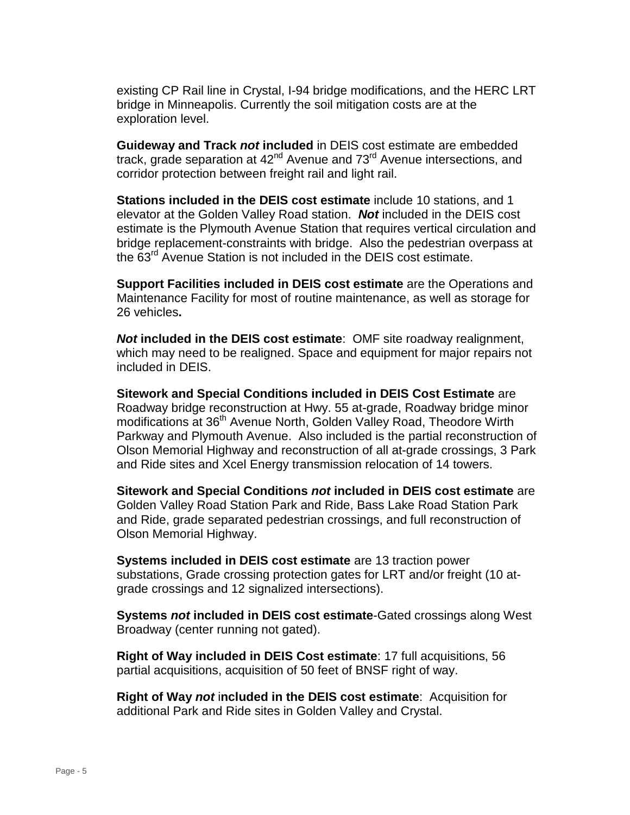existing CP Rail line in Crystal, I-94 bridge modifications, and the HERC LRT bridge in Minneapolis. Currently the soil mitigation costs are at the exploration level.

**Guideway and Track** *not* **included** in DEIS cost estimate are embedded track, grade separation at 42<sup>nd</sup> Avenue and 73<sup>rd</sup> Avenue intersections, and corridor protection between freight rail and light rail.

**Stations included in the DEIS cost estimate** include 10 stations, and 1 elevator at the Golden Valley Road station. *Not* included in the DEIS cost estimate is the Plymouth Avenue Station that requires vertical circulation and bridge replacement-constraints with bridge. Also the pedestrian overpass at the 63<sup>rd</sup> Avenue Station is not included in the DEIS cost estimate.

**Support Facilities included in DEIS cost estimate** are the Operations and Maintenance Facility for most of routine maintenance, as well as storage for 26 vehicles**.** 

*Not* **included in the DEIS cost estimate**: OMF site roadway realignment, which may need to be realigned. Space and equipment for major repairs not included in DEIS.

**Sitework and Special Conditions included in DEIS Cost Estimate** are Roadway bridge reconstruction at Hwy. 55 at-grade, Roadway bridge minor modifications at 36<sup>th</sup> Avenue North, Golden Valley Road, Theodore Wirth Parkway and Plymouth Avenue. Also included is the partial reconstruction of Olson Memorial Highway and reconstruction of all at-grade crossings, 3 Park and Ride sites and Xcel Energy transmission relocation of 14 towers.

**Sitework and Special Conditions** *not* **included in DEIS cost estimate** are Golden Valley Road Station Park and Ride, Bass Lake Road Station Park and Ride, grade separated pedestrian crossings, and full reconstruction of Olson Memorial Highway.

**Systems included in DEIS cost estimate** are 13 traction power substations, Grade crossing protection gates for LRT and/or freight (10 atgrade crossings and 12 signalized intersections).

**Systems** *not* **included in DEIS cost estimate**-Gated crossings along West Broadway (center running not gated).

**Right of Way included in DEIS Cost estimate**: 17 full acquisitions, 56 partial acquisitions, acquisition of 50 feet of BNSF right of way.

**Right of Way** *not* i**ncluded in the DEIS cost estimate**: Acquisition for additional Park and Ride sites in Golden Valley and Crystal.